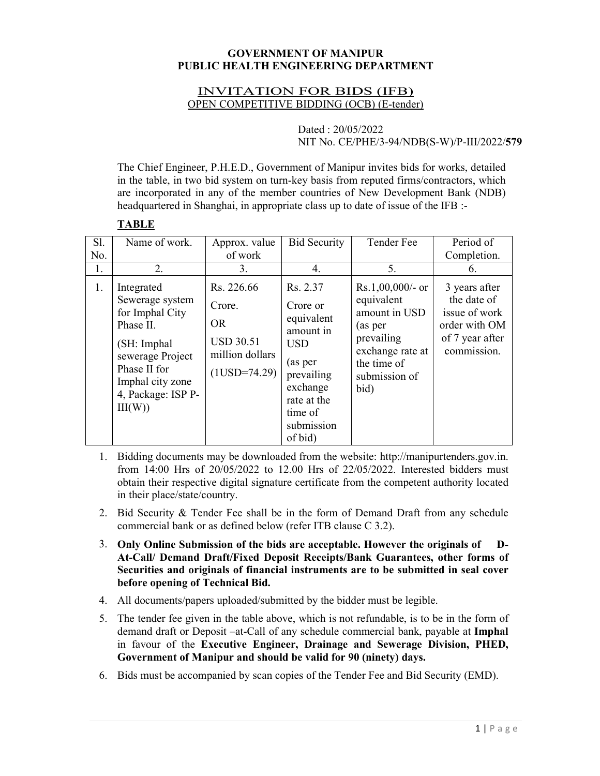#### **GOVERNMENT OF MANIPUR PUBLIC HEALTH ENGINEERING DEPARTMENT**

### INVITATION FOR BIDS (IFB) OPEN COMPETITIVE BIDDING (OCB) (E-tender)

#### Dated : 20/05/2022 NIT No. CE/PHE/3-94/NDB(S-W)/P-III/2022/**579**

The Chief Engineer, P.H.E.D., Government of Manipur invites bids for works, detailed in the table, in two bid system on turn-key basis from reputed firms/contractors, which are incorporated in any of the member countries of New Development Bank (NDB) headquartered in Shanghai, in appropriate class up to date of issue of the IFB :-

## **TABLE**

| Sl. | Name of work.                                                                                                                                                         | Approx. value                                                                              | <b>Bid Security</b>                                                                                                                                   | Tender Fee                                                                                                                             | Period of                                                                                        |
|-----|-----------------------------------------------------------------------------------------------------------------------------------------------------------------------|--------------------------------------------------------------------------------------------|-------------------------------------------------------------------------------------------------------------------------------------------------------|----------------------------------------------------------------------------------------------------------------------------------------|--------------------------------------------------------------------------------------------------|
| No. |                                                                                                                                                                       | of work                                                                                    |                                                                                                                                                       |                                                                                                                                        | Completion.                                                                                      |
| 1.  | 2.                                                                                                                                                                    | 3.                                                                                         | 4.                                                                                                                                                    | 5.                                                                                                                                     | 6.                                                                                               |
| 1.  | Integrated<br>Sewerage system<br>for Imphal City<br>Phase II.<br>(SH: Imphal<br>sewerage Project<br>Phase II for<br>Imphal city zone<br>4, Package: ISP P-<br>III(W)) | Rs. 226.66<br>Crore.<br><b>OR</b><br><b>USD 30.51</b><br>million dollars<br>$(1USD=74.29)$ | Rs. 2.37<br>Crore or<br>equivalent<br>amount in<br><b>USD</b><br>(as per<br>prevailing<br>exchange<br>rate at the<br>time of<br>submission<br>of bid) | $Rs.1,00,000/-$ or<br>equivalent<br>amount in USD<br>(as per<br>prevailing<br>exchange rate at<br>the time of<br>submission of<br>bid) | 3 years after<br>the date of<br>issue of work<br>order with OM<br>of 7 year after<br>commission. |

- 1. Bidding documents may be downloaded from the website: http://manipurtenders.gov.in. from 14:00 Hrs of 20/05/2022 to 12.00 Hrs of 22/05/2022. Interested bidders must obtain their respective digital signature certificate from the competent authority located in their place/state/country.
- 2. Bid Security & Tender Fee shall be in the form of Demand Draft from any schedule commercial bank or as defined below (refer ITB clause C 3.2).
- 3. **Only Online Submission of the bids are acceptable. However the originals of D-At-Call/ Demand Draft/Fixed Deposit Receipts/Bank Guarantees, other forms of Securities and originals of financial instruments are to be submitted in seal cover before opening of Technical Bid.**
- 4. All documents/papers uploaded/submitted by the bidder must be legible.
- 5. The tender fee given in the table above, which is not refundable, is to be in the form of demand draft or Deposit –at-Call of any schedule commercial bank, payable at **Imphal** in favour of the **Executive Engineer, Drainage and Sewerage Division, PHED, Government of Manipur and should be valid for 90 (ninety) days.**
- 6. Bids must be accompanied by scan copies of the Tender Fee and Bid Security (EMD).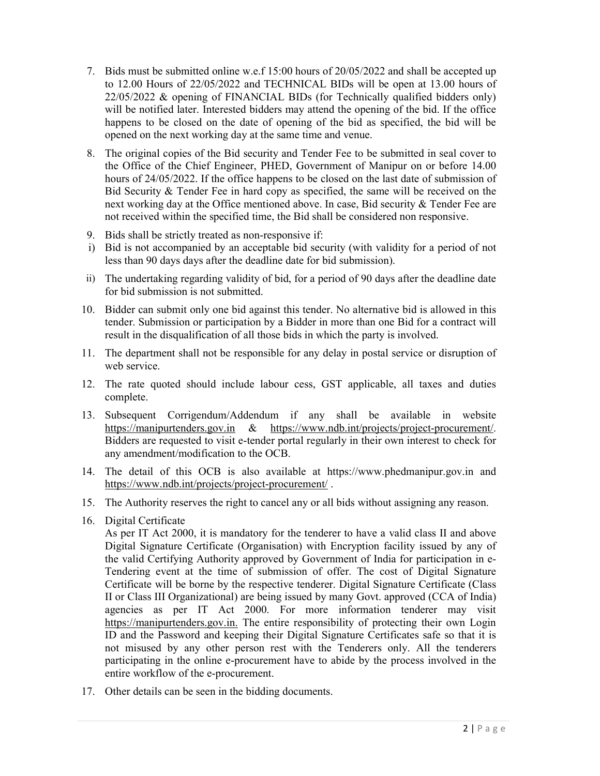- 7. Bids must be submitted online w.e.f 15:00 hours of 20/05/2022 and shall be accepted up to 12.00 Hours of 22/05/2022 and TECHNICAL BIDs will be open at 13.00 hours of 22/05/2022 & opening of FINANCIAL BIDs (for Technically qualified bidders only) will be notified later. Interested bidders may attend the opening of the bid. If the office happens to be closed on the date of opening of the bid as specified, the bid will be opened on the next working day at the same time and venue.
- 8. The original copies of the Bid security and Tender Fee to be submitted in seal cover to the Office of the Chief Engineer, PHED, Government of Manipur on or before 14.00 hours of 24/05/2022. If the office happens to be closed on the last date of submission of Bid Security & Tender Fee in hard copy as specified, the same will be received on the next working day at the Office mentioned above. In case, Bid security & Tender Fee are not received within the specified time, the Bid shall be considered non responsive.
- 9. Bids shall be strictly treated as non-responsive if:
- i) Bid is not accompanied by an acceptable bid security (with validity for a period of not less than 90 days days after the deadline date for bid submission).
- ii) The undertaking regarding validity of bid, for a period of 90 days after the deadline date for bid submission is not submitted.
- 10. Bidder can submit only one bid against this tender. No alternative bid is allowed in this tender. Submission or participation by a Bidder in more than one Bid for a contract will result in the disqualification of all those bids in which the party is involved.
- 11. The department shall not be responsible for any delay in postal service or disruption of web service.
- 12. The rate quoted should include labour cess, GST applicable, all taxes and duties complete.
- 13. Subsequent Corrigendum/Addendum if any shall be available in website https://manipurtenders.gov.in & https://www.ndb.int/projects/project-procurement/. Bidders are requested to visit e-tender portal regularly in their own interest to check for any amendment/modification to the OCB.
- 14. The detail of this OCB is also available at https://www.phedmanipur.gov.in and https://www.ndb.int/projects/project-procurement/ .
- 15. The Authority reserves the right to cancel any or all bids without assigning any reason.
- 16. Digital Certificate

As per IT Act 2000, it is mandatory for the tenderer to have a valid class II and above Digital Signature Certificate (Organisation) with Encryption facility issued by any of the valid Certifying Authority approved by Government of India for participation in e-Tendering event at the time of submission of offer. The cost of Digital Signature Certificate will be borne by the respective tenderer. Digital Signature Certificate (Class II or Class III Organizational) are being issued by many Govt. approved (CCA of India) agencies as per IT Act 2000. For more information tenderer may visit https://manipurtenders.gov.in. The entire responsibility of protecting their own Login ID and the Password and keeping their Digital Signature Certificates safe so that it is not misused by any other person rest with the Tenderers only. All the tenderers participating in the online e-procurement have to abide by the process involved in the entire workflow of the e-procurement.

17. Other details can be seen in the bidding documents.